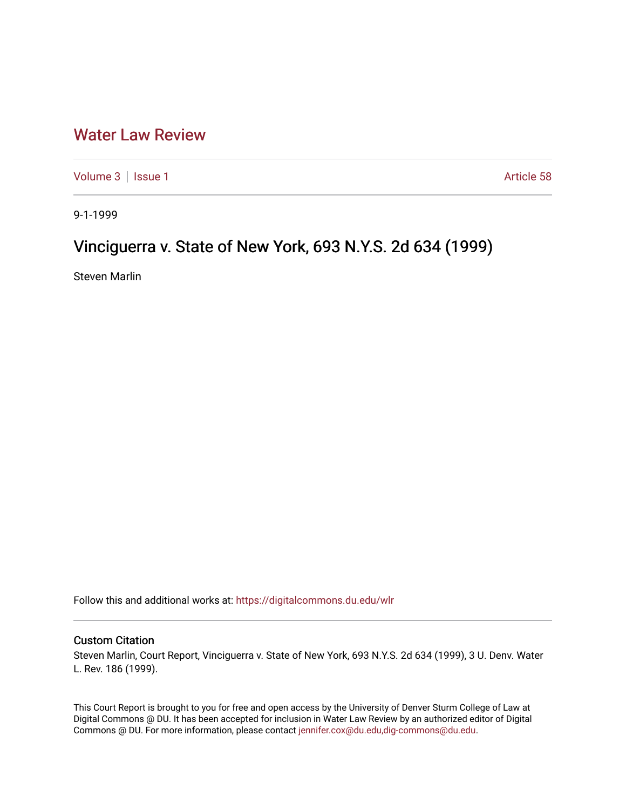## [Water Law Review](https://digitalcommons.du.edu/wlr)

[Volume 3](https://digitalcommons.du.edu/wlr/vol3) | [Issue 1](https://digitalcommons.du.edu/wlr/vol3/iss1) Article 58

9-1-1999

## Vinciguerra v. State of New York, 693 N.Y.S. 2d 634 (1999)

Steven Marlin

Follow this and additional works at: [https://digitalcommons.du.edu/wlr](https://digitalcommons.du.edu/wlr?utm_source=digitalcommons.du.edu%2Fwlr%2Fvol3%2Fiss1%2F58&utm_medium=PDF&utm_campaign=PDFCoverPages) 

## Custom Citation

Steven Marlin, Court Report, Vinciguerra v. State of New York, 693 N.Y.S. 2d 634 (1999), 3 U. Denv. Water L. Rev. 186 (1999).

This Court Report is brought to you for free and open access by the University of Denver Sturm College of Law at Digital Commons @ DU. It has been accepted for inclusion in Water Law Review by an authorized editor of Digital Commons @ DU. For more information, please contact [jennifer.cox@du.edu,dig-commons@du.edu.](mailto:jennifer.cox@du.edu,dig-commons@du.edu)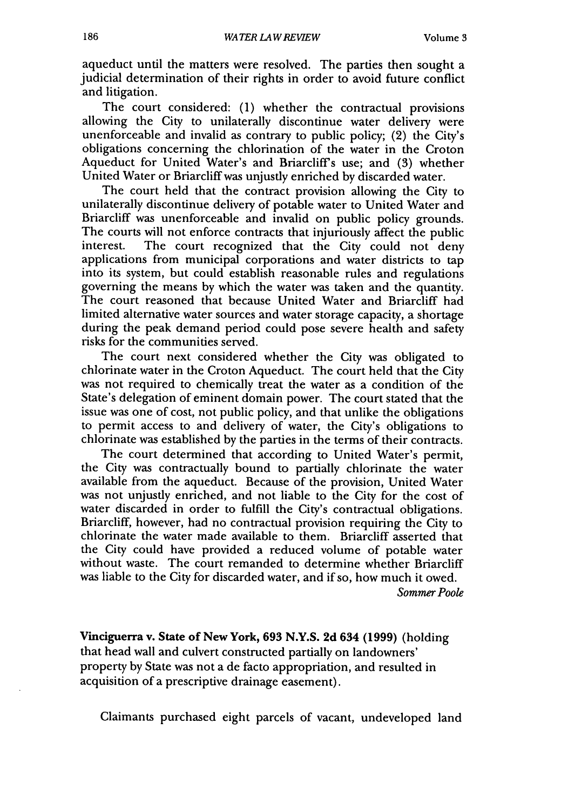aqueduct until the matters were resolved. The parties then sought a judicial determination of their rights in order to avoid future conflict and litigation.

The court considered: (1) whether the contractual provisions allowing the City to unilaterally discontinue water delivery were unenforceable and invalid as contrary to public policy; (2) the City's obligations concerning the chlorination of the water in the Croton Aqueduct for United Water's and Briarcliff's use; and (3) whether United Water or Briarcliff was unjustly enriched by discarded water.

The court held that the contract provision allowing the City to unilaterally discontinue delivery of potable water to United Water and Briarcliff was unenforceable and invalid on public policy grounds. The courts will not enforce contracts that injuriously affect the public interest. The court recognized that the City could not deny applications from municipal corporations and water districts to tap into its system, but could establish reasonable rules and regulations governing the means by which the water was taken and the quantity. The court reasoned that because United Water and Briarcliff had limited alternative water sources and water storage capacity, a shortage during the peak demand period could pose severe health and safety risks for the communities served.

The court next considered whether the City was obligated to chlorinate water in the Croton Aqueduct. The court held that the City was not required to chemically treat the water as a condition of the State's delegation of eminent domain power. The court stated that the issue was one of cost, not public policy, and that unlike the obligations to permit access to and delivery of water, the City's obligations to chlorinate was established by the parties in the terms of their contracts.

The court determined that according to United Water's permit, the City was contractually bound to partially chlorinate the water available from the aqueduct. Because of the provision, United Water was not unjustly enriched, and not liable to the City for the cost of water discarded in order to fulfill the City's contractual obligations. Briarcliff, however, had no contractual provision requiring the City to chlorinate the water made available to them. Briarcliff asserted that the City could have provided a reduced volume of potable water without waste. The court remanded to determine whether Briarcliff was liable to the City for discarded water, and if so, how much it owed. *Sommer Poole*

Vinciguerra v. State of New York, **693 N.Y.S. 2d** 634 **(1999)** (holding that head wall and culvert constructed partially on landowners' property by State was not a de facto appropriation, and resulted in acquisition of a prescriptive drainage easement).

Claimants purchased eight parcels of vacant, undeveloped land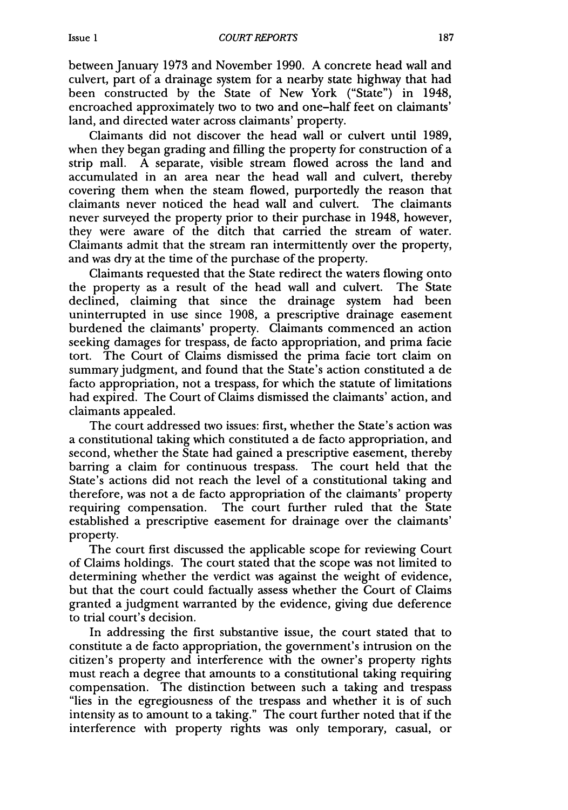between January 1973 and November 1990. A concrete head wall and culvert, part of a drainage system for a nearby state highway that had been constructed by the State of New York ("State") in 1948, encroached approximately two to two and one-half feet on claimants' land, and directed water across claimants' property.

Claimants did not discover the head wall or culvert until 1989, when they began grading and filling the property for construction of a strip mall. A separate, visible stream flowed across the land and accumulated in an area near the head wall and culvert, thereby covering them when the steam flowed, purportedly the reason that claimants never noticed the head wall and culvert. The claimants never surveyed the property prior to their purchase in 1948, however, they were aware of the ditch that carried the stream of water. Claimants admit that the stream ran intermittently over the property, and was dry at the time of the purchase of the property.

Claimants requested that the State redirect the waters flowing onto the property as a result of the head wall and culvert. The State declined, claiming that since the drainage system had been uninterrupted in use since 1908, a prescriptive drainage easement burdened the claimants' property. Claimants commenced an action seeking damages for trespass, de facto appropriation, and prima facie tort. The Court of Claims dismissed the prima facie tort claim on summary judgment, and found that the State's action constituted a de facto appropriation, not a trespass, for which the statute of limitations had expired. The Court of Claims dismissed the claimants' action, and claimants appealed.

The court addressed two issues: first, whether the State's action was a constitutional taking which constituted a de facto appropriation, and second, whether the State had gained a prescriptive easement, thereby barring a claim for continuous trespass. The court held that the State's actions did not reach the level of a constitutional taking and therefore, was not a de facto appropriation of the claimants' property requiring compensation. The court further ruled that the State established a prescriptive easement for drainage over the claimants' property.

The court first discussed the applicable scope for reviewing Court of Claims holdings. The court stated that the scope was not limited to determining whether the verdict was against the weight of evidence, but that the court could factually assess whether the Court of Claims granted a judgment warranted by the evidence, giving due deference to trial court's decision.

In addressing the first substantive issue, the court stated that to constitute a de facto appropriation, the government's intrusion on the citizen's property and interference with the owner's property rights must reach a degree that amounts to a constitutional taking requiring compensation. The distinction between such a taking and trespass "lies in the egregiousness of the trespass and whether it is of such intensity as to amount to a taking." The court further noted that if the interference with property rights was only temporary, casual, or